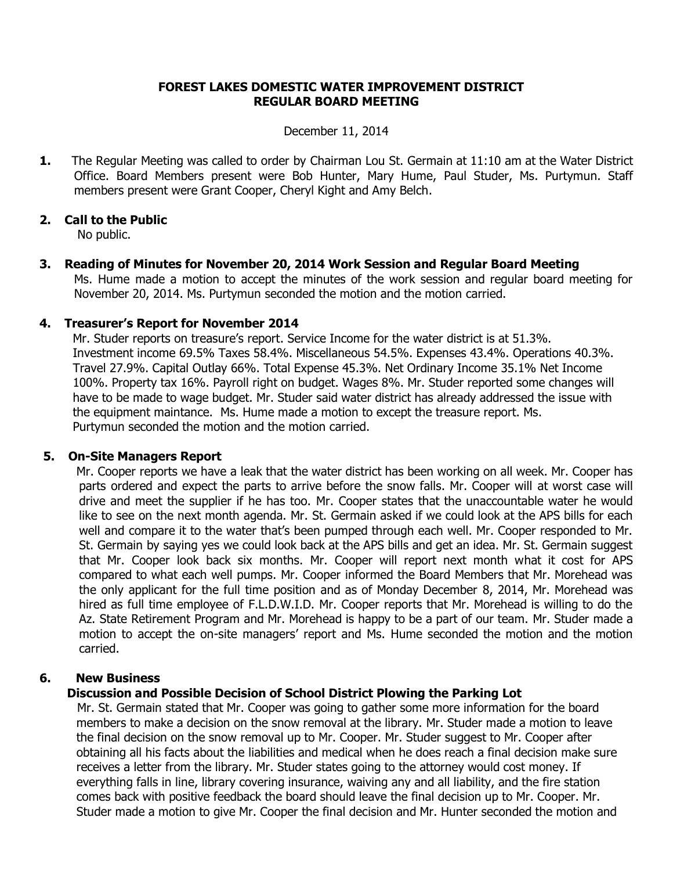## **FOREST LAKES DOMESTIC WATER IMPROVEMENT DISTRICT REGULAR BOARD MEETING**

#### December 11, 2014

**1.** The Regular Meeting was called to order by Chairman Lou St. Germain at 11:10 am at the Water District Office. Board Members present were Bob Hunter, Mary Hume, Paul Studer, Ms. Purtymun. Staff members present were Grant Cooper, Cheryl Kight and Amy Belch.

# **2. Call to the Public**

No public.

**3. Reading of Minutes for November 20, 2014 Work Session and Regular Board Meeting** Ms. Hume made a motion to accept the minutes of the work session and regular board meeting for November 20, 2014. Ms. Purtymun seconded the motion and the motion carried.

### **4. Treasurer's Report for November 2014**

 Mr. Studer reports on treasure's report. Service Income for the water district is at 51.3%. Investment income 69.5% Taxes 58.4%. Miscellaneous 54.5%. Expenses 43.4%. Operations 40.3%. Travel 27.9%. Capital Outlay 66%. Total Expense 45.3%. Net Ordinary Income 35.1% Net Income 100%. Property tax 16%. Payroll right on budget. Wages 8%. Mr. Studer reported some changes will have to be made to wage budget. Mr. Studer said water district has already addressed the issue with the equipment maintance. Ms. Hume made a motion to except the treasure report. Ms. Purtymun seconded the motion and the motion carried.

### **5. On-Site Managers Report**

 Mr. Cooper reports we have a leak that the water district has been working on all week. Mr. Cooper has parts ordered and expect the parts to arrive before the snow falls. Mr. Cooper will at worst case will drive and meet the supplier if he has too. Mr. Cooper states that the unaccountable water he would like to see on the next month agenda. Mr. St. Germain asked if we could look at the APS bills for each well and compare it to the water that's been pumped through each well. Mr. Cooper responded to Mr. St. Germain by saying yes we could look back at the APS bills and get an idea. Mr. St. Germain suggest that Mr. Cooper look back six months. Mr. Cooper will report next month what it cost for APS compared to what each well pumps. Mr. Cooper informed the Board Members that Mr. Morehead was the only applicant for the full time position and as of Monday December 8, 2014, Mr. Morehead was hired as full time employee of F.L.D.W.I.D. Mr. Cooper reports that Mr. Morehead is willing to do the Az. State Retirement Program and Mr. Morehead is happy to be a part of our team. Mr. Studer made a motion to accept the on-site managers' report and Ms. Hume seconded the motion and the motion carried.

### **6. New Business**

# **Discussion and Possible Decision of School District Plowing the Parking Lot**

Mr. St. Germain stated that Mr. Cooper was going to gather some more information for the board members to make a decision on the snow removal at the library. Mr. Studer made a motion to leave the final decision on the snow removal up to Mr. Cooper. Mr. Studer suggest to Mr. Cooper after obtaining all his facts about the liabilities and medical when he does reach a final decision make sure receives a letter from the library. Mr. Studer states going to the attorney would cost money. If everything falls in line, library covering insurance, waiving any and all liability, and the fire station comes back with positive feedback the board should leave the final decision up to Mr. Cooper. Mr. Studer made a motion to give Mr. Cooper the final decision and Mr. Hunter seconded the motion and